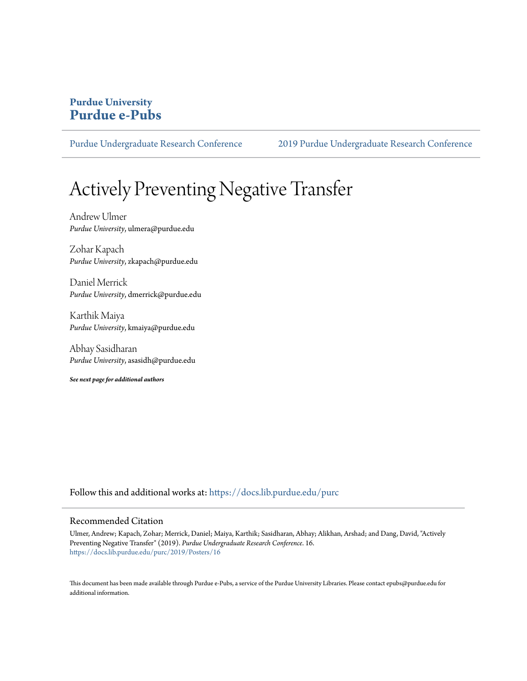#### **Purdue University [Purdue e-Pubs](https://docs.lib.purdue.edu?utm_source=docs.lib.purdue.edu%2Fpurc%2F2019%2FPosters%2F16&utm_medium=PDF&utm_campaign=PDFCoverPages)**

[Purdue Undergraduate Research Conference](https://docs.lib.purdue.edu/purc?utm_source=docs.lib.purdue.edu%2Fpurc%2F2019%2FPosters%2F16&utm_medium=PDF&utm_campaign=PDFCoverPages) [2019 Purdue Undergraduate Research Conference](https://docs.lib.purdue.edu/purc/2019?utm_source=docs.lib.purdue.edu%2Fpurc%2F2019%2FPosters%2F16&utm_medium=PDF&utm_campaign=PDFCoverPages)

#### Actively Preventing Negative Transfer

Andrew Ulmer *Purdue University*, ulmera@purdue.edu

Zohar Kapach *Purdue University*, zkapach@purdue.edu

Daniel Merrick *Purdue University*, dmerrick@purdue.edu

Karthik Maiya *Purdue University*, kmaiya@purdue.edu

Abhay Sasidharan *Purdue University*, asasidh@purdue.edu

*See next page for additional authors*

Follow this and additional works at: [https://docs.lib.purdue.edu/purc](https://docs.lib.purdue.edu/purc?utm_source=docs.lib.purdue.edu%2Fpurc%2F2019%2FPosters%2F16&utm_medium=PDF&utm_campaign=PDFCoverPages)

#### Recommended Citation

Ulmer, Andrew; Kapach, Zohar; Merrick, Daniel; Maiya, Karthik; Sasidharan, Abhay; Alikhan, Arshad; and Dang, David, "Actively Preventing Negative Transfer" (2019). *Purdue Undergraduate Research Conference*. 16. [https://docs.lib.purdue.edu/purc/2019/Posters/16](https://docs.lib.purdue.edu/purc/2019/Posters/16?utm_source=docs.lib.purdue.edu%2Fpurc%2F2019%2FPosters%2F16&utm_medium=PDF&utm_campaign=PDFCoverPages)

This document has been made available through Purdue e-Pubs, a service of the Purdue University Libraries. Please contact epubs@purdue.edu for additional information.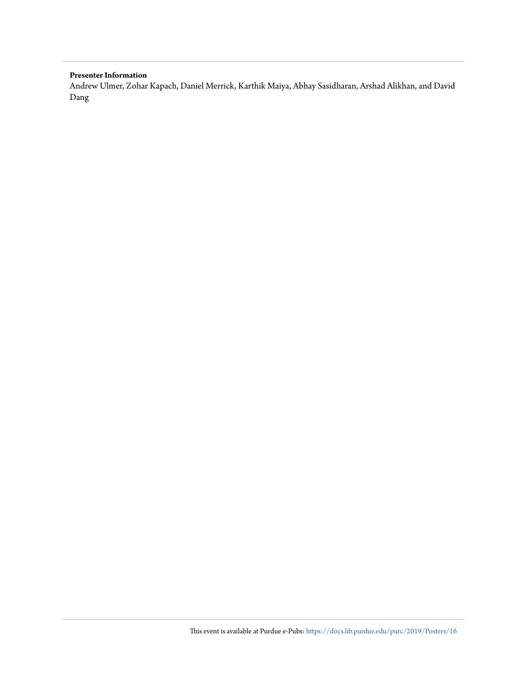#### **Presenter Information**

Andrew Ulmer, Zohar Kapach, Daniel Merrick, Karthik Maiya, Abhay Sasidharan, Arshad Alikhan, and David Dang